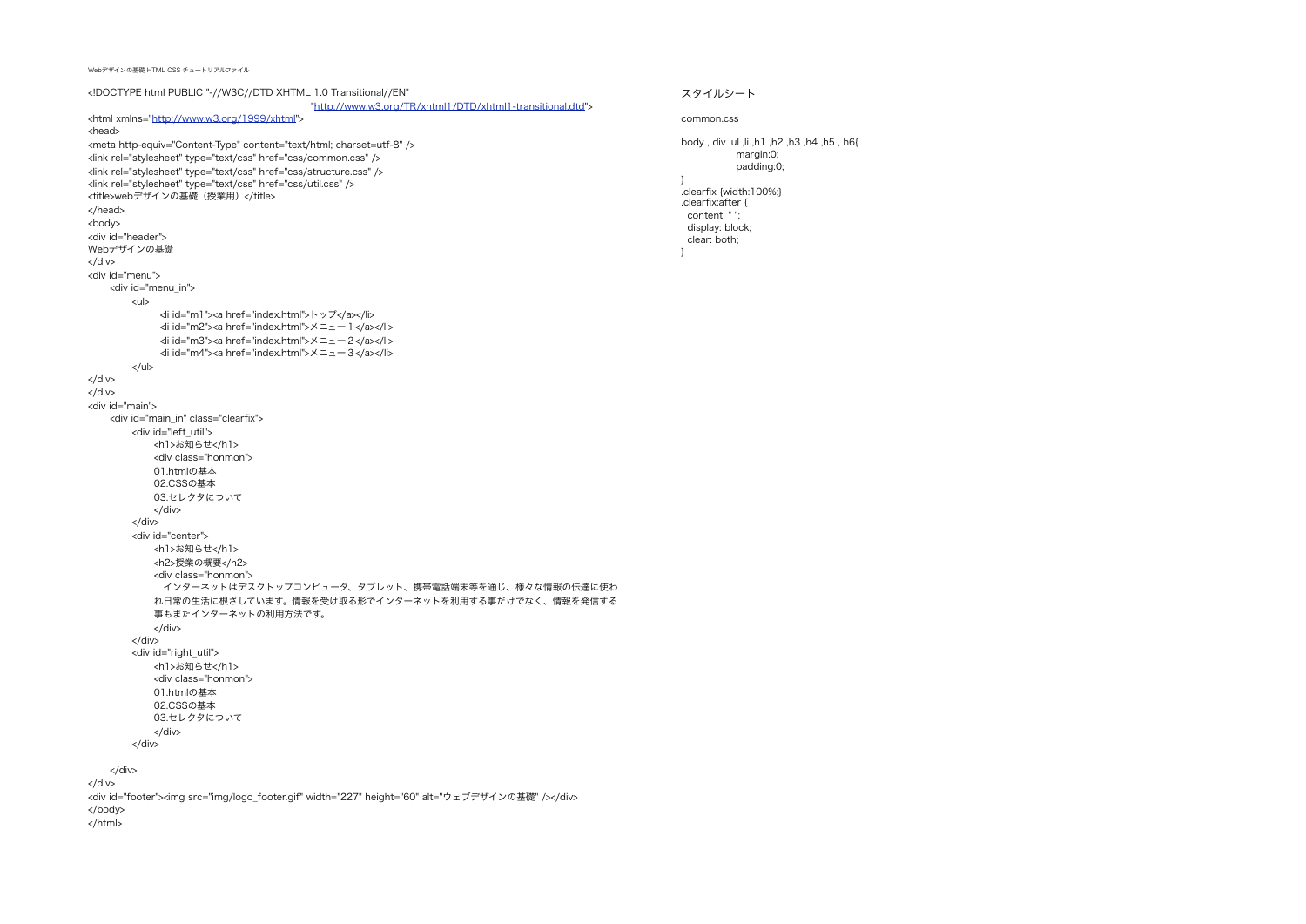Webデザインの基礎 HTML CSS チュートリアルファイル

<!DOCTYPE html PUBLIC "-//W3C//DTD XHTML 1.0 Transitional//EN" "[http://www.w3.org/TR/xhtml1/DTD/xhtml1-transitional.dtd"](http://www.w3.org/TR/xhtml1/DTD/xhtml1-transitional.dtd)> <html xmlns=["http://www.w3.org/1999/xhtml"](http://www.w3.org/1999/xhtml)> <head> <meta http-equiv="Content-Type" content="text/html; charset=utf-8" /> <link rel="stylesheet" type="text/css" href="css/common.css" /> <link rel="stylesheet" type="text/css" href="css/structure.css" /> <link rel="stylesheet" type="text/css" href="css/util.css" /> <title>webデザインの基礎 (授業用) </title> </head> <body> <div id="header"> Webデザインの基礎 </div> <div id="menu"> <div id="menu\_in"> <ul> <li id="m1"><a href="index.html">トップ</a></li> <li id="m2"><a href="index.html">メニュー1</a></li> <li id="m3"><a href="index.html">メニュー2</a></li> <li id="m4"><a href="index.html">メニュー3</a></li> </ul> </div> </div> <div id="main"> <div id="main\_in" class="clearfix"> <div id="left\_util"> <h1>お知らせ</h1> <div class="honmon"> 01.htmlの基本 02.CSSの基本 03.セレクタについて </div> </div> <div id="center"> <h1>お知らせ</h1> <h2>授業の概要</h2> <div class="honmon"> インターネットはデスクトップコンピュータ、タブレット、携帯電話端末等を通じ、様々な情報の伝達に使わ れ日常の生活に根ざしています。情報を受け取る形でインターネットを利用する事だけでなく、情報を発信する 事もまたインターネットの利用方法です。 </div> </div> <div id="right\_util"> <h1>お知らせ</h1> <div class="honmon"> 01.htmlの基本 02.CSSの基本 03.セレクタについて </div> </div> </div> </div> <div id="footer"><img src="img/logo\_footer.gif" width="227" height="60" alt="ウェブデザインの基礎" /></div> </body> </html>

スタイルシート

common.css

}

body div ul li h1  $h$ 2  $h$ 3  $h$ 4  $h$ 5  $h$ 6 $l$  margin:0; padding:0; .clearfix {width:100%;} .clearfix:after { content: " "; display: block; clear: both; }